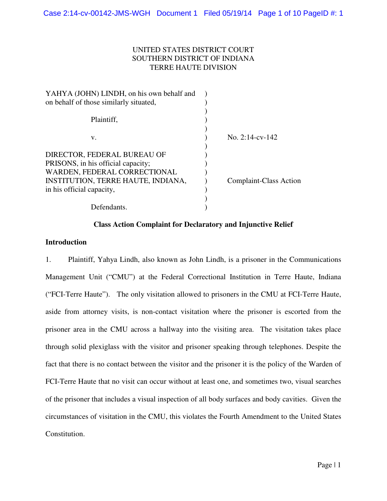# SOUTHERN DISTRICT OF INDIANA UNITED STATES DISTRICT COURT TERRE HAUTE DIVISION

| YAHYA (JOHN) LINDH, on his own behalf and |                        |
|-------------------------------------------|------------------------|
| on behalf of those similarly situated,    |                        |
| Plaintiff,                                |                        |
| v.                                        | No. $2:14$ -cv-142     |
| DIRECTOR, FEDERAL BUREAU OF               |                        |
| PRISONS, in his official capacity;        |                        |
| WARDEN, FEDERAL CORRECTIONAL              |                        |
| INSTITUTION, TERRE HAUTE, INDIANA,        | Complaint-Class Action |
| in his official capacity,                 |                        |
|                                           |                        |
| Defendants.                               |                        |
|                                           |                        |

# **Class Action Complaint for Declaratory and Injunctive Relief**

#### **Introduction**

 1. Plaintiff, Yahya Lindh, also known as John Lindh, is a prisoner in the Communications Management Unit ("CMU") at the Federal Correctional Institution in Terre Haute, Indiana ("FCI-Terre Haute"). The only visitation allowed to prisoners in the CMU at FCI-Terre Haute, aside from attorney visits, is non-contact visitation where the prisoner is escorted from the prisoner area in the CMU across a hallway into the visiting area. The visitation takes place through solid plexiglass with the visitor and prisoner speaking through telephones. Despite the fact that there is no contact between the visitor and the prisoner it is the policy of the Warden of FCI-Terre Haute that no visit can occur without at least one, and sometimes two, visual searches of the prisoner that includes a visual inspection of all body surfaces and body cavities. Given the circumstances of visitation in the CMU, this violates the Fourth Amendment to the United States Constitution.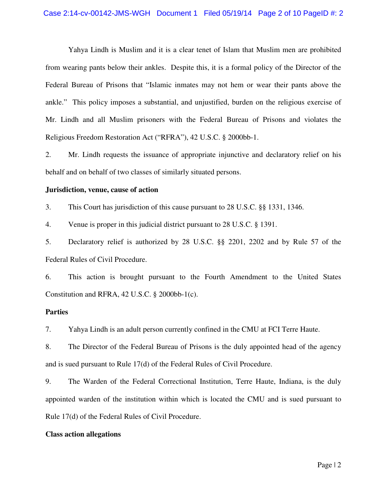Yahya Lindh is Muslim and it is a clear tenet of Islam that Muslim men are prohibited from wearing pants below their ankles. Despite this, it is a formal policy of the Director of the Federal Bureau of Prisons that "Islamic inmates may not hem or wear their pants above the ankle." This policy imposes a substantial, and unjustified, burden on the religious exercise of Mr. Lindh and all Muslim prisoners with the Federal Bureau of Prisons and violates the Religious Freedom Restoration Act ("RFRA"), 42 U.S.C. § 2000bb-1.

 2. Mr. Lindh requests the issuance of appropriate injunctive and declaratory relief on his behalf and on behalf of two classes of similarly situated persons.

### **Jurisdiction, venue, cause of action**

3. This Court has jurisdiction of this cause pursuant to 28 U.S.C. §§ 1331, 1346.

4. Venue is proper in this judicial district pursuant to 28 U.S.C. § 1391.

 5. Declaratory relief is authorized by 28 U.S.C. §§ 2201, 2202 and by Rule 57 of the Federal Rules of Civil Procedure.

 6. This action is brought pursuant to the Fourth Amendment to the United States Constitution and RFRA, 42 U.S.C. § 2000bb-1(c).

# **Parties**

7. Yahya Lindh is an adult person currently confined in the CMU at FCI Terre Haute.

 8. The Director of the Federal Bureau of Prisons is the duly appointed head of the agency and is sued pursuant to Rule 17(d) of the Federal Rules of Civil Procedure.

 9. The Warden of the Federal Correctional Institution, Terre Haute, Indiana, is the duly appointed warden of the institution within which is located the CMU and is sued pursuant to Rule 17(d) of the Federal Rules of Civil Procedure.

# **Class action allegations**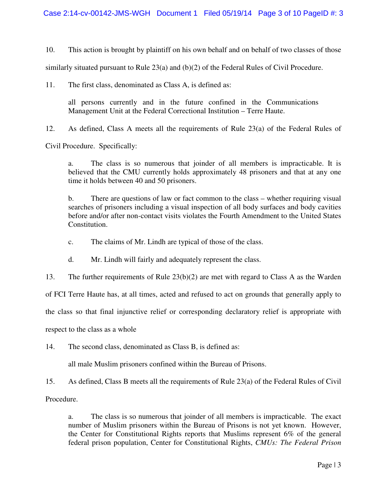10. This action is brought by plaintiff on his own behalf and on behalf of two classes of those

similarly situated pursuant to Rule 23(a) and (b)(2) of the Federal Rules of Civil Procedure.

11. The first class, denominated as Class A, is defined as:

 all persons currently and in the future confined in the Communications Management Unit at the Federal Correctional Institution – Terre Haute.

12. As defined, Class A meets all the requirements of Rule 23(a) of the Federal Rules of

Civil Procedure. Specifically:

 a. The class is so numerous that joinder of all members is impracticable. It is believed that the CMU currently holds approximately 48 prisoners and that at any one time it holds between 40 and 50 prisoners.

 b. There are questions of law or fact common to the class – whether requiring visual searches of prisoners including a visual inspection of all body surfaces and body cavities before and/or after non-contact visits violates the Fourth Amendment to the United States Constitution.

c. The claims of Mr. Lindh are typical of those of the class.

d. Mr. Lindh will fairly and adequately represent the class.

13. The further requirements of Rule 23(b)(2) are met with regard to Class A as the Warden

of FCI Terre Haute has, at all times, acted and refused to act on grounds that generally apply to

the class so that final injunctive relief or corresponding declaratory relief is appropriate with

respect to the class as a whole

14. The second class, denominated as Class B, is defined as:

all male Muslim prisoners confined within the Bureau of Prisons.

15. As defined, Class B meets all the requirements of Rule 23(a) of the Federal Rules of Civil

Procedure.

 a. The class is so numerous that joinder of all members is impracticable. The exact number of Muslim prisoners within the Bureau of Prisons is not yet known. However, the Center for Constitutional Rights reports that Muslims represent 6% of the general federal prison population, Center for Constitutional Rights, *CMUs: The Federal Prison*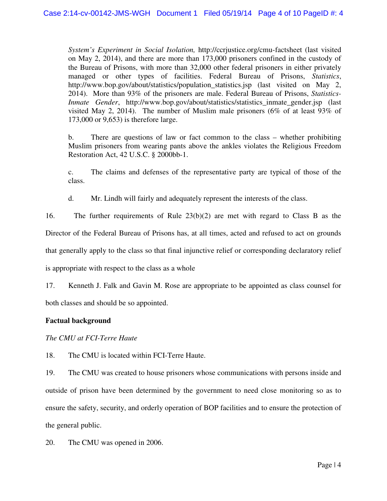*System's Experiment in Social Isolation,* http://ccrjustice.org/cmu-factsheet (last visited on May 2, 2014), and there are more than 173,000 prisoners confined in the custody of the Bureau of Prisons, with more than 32,000 other federal prisoners in either privately managed or other types of facilities. Federal Bureau of Prisons, *Statistics*, http://www.bop.gov/about/statistics/population\_statistics.jsp (last visited on May 2, 2014). More than 93% of the prisoners are male. Federal Bureau of Prisons, *Statistics- Inmate Gender*, http://www.bop.gov/about/statistics/statistics\_inmate\_gender.jsp (last visited May 2, 2014). The number of Muslim male prisoners (6% of at least 93% of 173,000 or 9,653) is therefore large.

 b. There are questions of law or fact common to the class – whether prohibiting Muslim prisoners from wearing pants above the ankles violates the Religious Freedom Restoration Act, 42 U.S.C. § 2000bb-1.

 c. The claims and defenses of the representative party are typical of those of the class.

d. Mr. Lindh will fairly and adequately represent the interests of the class.

16. The further requirements of Rule 23(b)(2) are met with regard to Class B as the

Director of the Federal Bureau of Prisons has, at all times, acted and refused to act on grounds

that generally apply to the class so that final injunctive relief or corresponding declaratory relief

is appropriate with respect to the class as a whole

 17. Kenneth J. Falk and Gavin M. Rose are appropriate to be appointed as class counsel for both classes and should be so appointed.

# **Factual background**

 *The CMU at FCI-Terre Haute* 

18. The CMU is located within FCI-Terre Haute.

 19. The CMU was created to house prisoners whose communications with persons inside and outside of prison have been determined by the government to need close monitoring so as to ensure the safety, security, and orderly operation of BOP facilities and to ensure the protection of the general public.

20. The CMU was opened in 2006.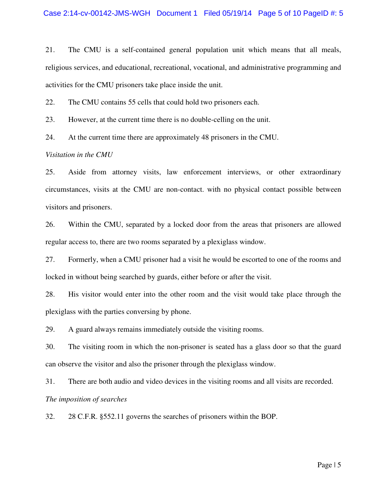21. The CMU is a self-contained general population unit which means that all meals, religious services, and educational, recreational, vocational, and administrative programming and activities for the CMU prisoners take place inside the unit.

22. The CMU contains 55 cells that could hold two prisoners each.

23. However, at the current time there is no double-celling on the unit.

24. At the current time there are approximately 48 prisoners in the CMU.

### *Visitation in the CMU*

 25. Aside from attorney visits, law enforcement interviews, or other extraordinary circumstances, visits at the CMU are non-contact. with no physical contact possible between visitors and prisoners.

 26. Within the CMU, separated by a locked door from the areas that prisoners are allowed regular access to, there are two rooms separated by a plexiglass window.

 27. Formerly, when a CMU prisoner had a visit he would be escorted to one of the rooms and locked in without being searched by guards, either before or after the visit.

 28. His visitor would enter into the other room and the visit would take place through the plexiglass with the parties conversing by phone.

29. A guard always remains immediately outside the visiting rooms.

 30. The visiting room in which the non-prisoner is seated has a glass door so that the guard can observe the visitor and also the prisoner through the plexiglass window.

31. There are both audio and video devices in the visiting rooms and all visits are recorded. *The imposition of searches* 

32. 28 C.F.R. §552.11 governs the searches of prisoners within the BOP.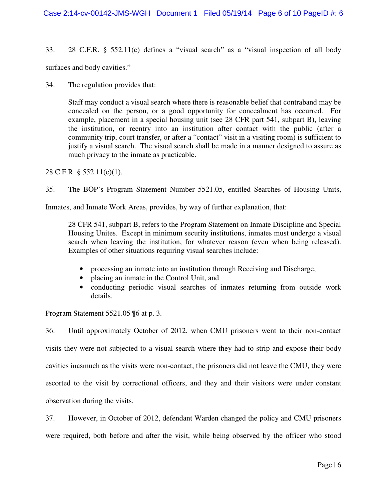33. 28 C.F.R. § 552.11(c) defines a "visual search" as a "visual inspection of all body

surfaces and body cavities."

34. The regulation provides that:

 concealed on the person, or a good opportunity for concealment has occurred. For example, placement in a special housing unit (see 28 CFR part 541, subpart B), leaving the institution, or reentry into an institution after contact with the public (after a community trip, court transfer, or after a "contact" visit in a visiting room) is sufficient to justify a visual search. The visual search shall be made in a manner designed to assure as Staff may conduct a visual search where there is reasonable belief that contraband may be much privacy to the inmate as practicable.

28 C.F.R. § 552.11(c)(1).

35. The BOP's Program Statement Number 5521.05, entitled Searches of Housing Units,

Inmates, and Inmate Work Areas, provides, by way of further explanation, that:

 Housing Unites. Except in minimum security institutions, inmates must undergo a visual search when leaving the institution, for whatever reason (even when being released). 28 CFR 541, subpart B, refers to the Program Statement on Inmate Discipline and Special Examples of other situations requiring visual searches include:

- processing an inmate into an institution through Receiving and Discharge,
- placing an inmate in the Control Unit, and
- • conducting periodic visual searches of inmates returning from outside work details.

Program Statement 5521.05 ¶6 at p. 3.

 36. Until approximately October of 2012, when CMU prisoners went to their non-contact visits they were not subjected to a visual search where they had to strip and expose their body cavities inasmuch as the visits were non-contact, the prisoners did not leave the CMU, they were escorted to the visit by correctional officers, and they and their visitors were under constant observation during the visits.

 37. However, in October of 2012, defendant Warden changed the policy and CMU prisoners were required, both before and after the visit, while being observed by the officer who stood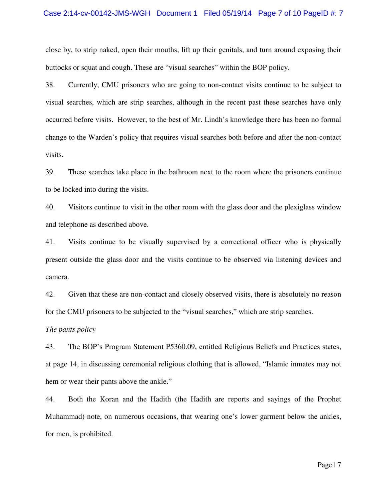#### Case 2:14-cv-00142-JMS-WGH Document 1 Filed 05/19/14 Page 7 of 10 PageID #: 7

 close by, to strip naked, open their mouths, lift up their genitals, and turn around exposing their buttocks or squat and cough. These are "visual searches" within the BOP policy.

 38. Currently, CMU prisoners who are going to non-contact visits continue to be subject to visual searches, which are strip searches, although in the recent past these searches have only occurred before visits. However, to the best of Mr. Lindh's knowledge there has been no formal change to the Warden's policy that requires visual searches both before and after the non-contact visits.

 39. These searches take place in the bathroom next to the room where the prisoners continue to be locked into during the visits.

 40. Visitors continue to visit in the other room with the glass door and the plexiglass window and telephone as described above.

 41. Visits continue to be visually supervised by a correctional officer who is physically present outside the glass door and the visits continue to be observed via listening devices and camera.

 42. Given that these are non-contact and closely observed visits, there is absolutely no reason for the CMU prisoners to be subjected to the "visual searches," which are strip searches.

#### *The pants policy*

 43. The BOP's Program Statement P5360.09, entitled Religious Beliefs and Practices states, at page 14, in discussing ceremonial religious clothing that is allowed, "Islamic inmates may not hem or wear their pants above the ankle."

 44. Both the Koran and the Hadith (the Hadith are reports and sayings of the Prophet Muhammad) note, on numerous occasions, that wearing one's lower garment below the ankles, for men, is prohibited.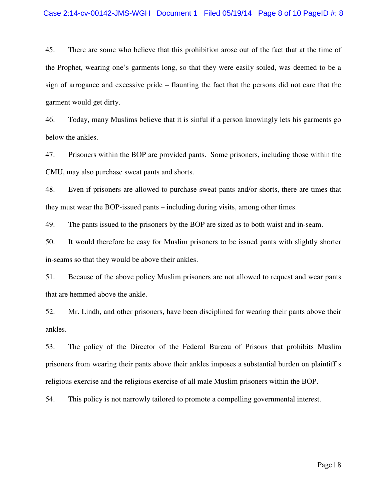#### Case 2:14-cv-00142-JMS-WGH Document 1 Filed 05/19/14 Page 8 of 10 PageID #: 8

 45. There are some who believe that this prohibition arose out of the fact that at the time of the Prophet, wearing one's garments long, so that they were easily soiled, was deemed to be a sign of arrogance and excessive pride – flaunting the fact that the persons did not care that the garment would get dirty.

 46. Today, many Muslims believe that it is sinful if a person knowingly lets his garments go below the ankles.

 47. Prisoners within the BOP are provided pants. Some prisoners, including those within the CMU, may also purchase sweat pants and shorts.

 48. Even if prisoners are allowed to purchase sweat pants and/or shorts, there are times that they must wear the BOP-issued pants – including during visits, among other times.

49. The pants issued to the prisoners by the BOP are sized as to both waist and in-seam.

 50. It would therefore be easy for Muslim prisoners to be issued pants with slightly shorter in-seams so that they would be above their ankles.

 51. Because of the above policy Muslim prisoners are not allowed to request and wear pants that are hemmed above the ankle.

 52. Mr. Lindh, and other prisoners, have been disciplined for wearing their pants above their ankles.

 53. The policy of the Director of the Federal Bureau of Prisons that prohibits Muslim prisoners from wearing their pants above their ankles imposes a substantial burden on plaintiff's religious exercise and the religious exercise of all male Muslim prisoners within the BOP.

54. This policy is not narrowly tailored to promote a compelling governmental interest.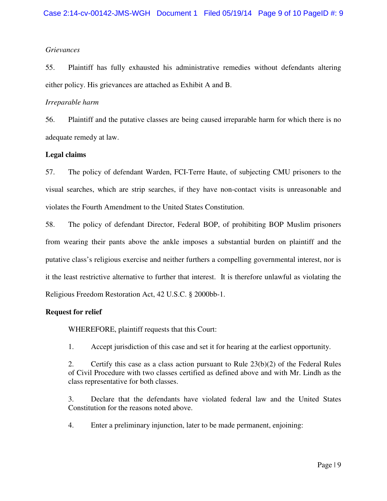# *Grievances*

 55. Plaintiff has fully exhausted his administrative remedies without defendants altering either policy. His grievances are attached as Exhibit A and B.

### *Irreparable harm*

 56. Plaintiff and the putative classes are being caused irreparable harm for which there is no adequate remedy at law.

# **Legal claims**

 57. The policy of defendant Warden, FCI-Terre Haute, of subjecting CMU prisoners to the visual searches, which are strip searches, if they have non-contact visits is unreasonable and violates the Fourth Amendment to the United States Constitution.

 58. The policy of defendant Director, Federal BOP, of prohibiting BOP Muslim prisoners from wearing their pants above the ankle imposes a substantial burden on plaintiff and the putative class's religious exercise and neither furthers a compelling governmental interest, nor is it the least restrictive alternative to further that interest. It is therefore unlawful as violating the Religious Freedom Restoration Act, 42 U.S.C. § 2000bb-1.

# **Request for relief**

WHEREFORE, plaintiff requests that this Court:

1. Accept jurisdiction of this case and set it for hearing at the earliest opportunity.

 2. Certify this case as a class action pursuant to Rule 23(b)(2) of the Federal Rules of Civil Procedure with two classes certified as defined above and with Mr. Lindh as the class representative for both classes.

 3. Declare that the defendants have violated federal law and the United States Constitution for the reasons noted above.

4. Enter a preliminary injunction, later to be made permanent, enjoining: